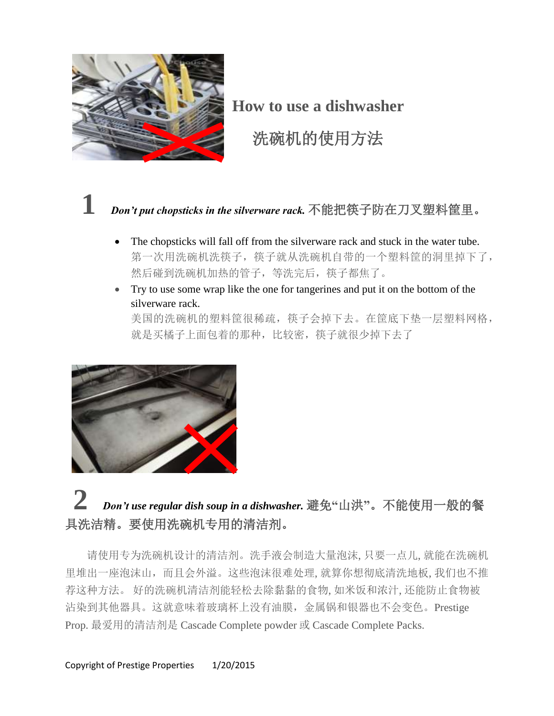

#### **How to use a dishwasher**

洗碗机的使用方法

### **1** *Don't put chopsticks in the silverware rack.* 不能把筷子防在刀叉塑料筐里。

- The chopsticks will fall off from the silverware rack and stuck in the water tube. 第一次用洗碗机洗筷子,筷子就从洗碗机自带的一个塑料筐的洞里掉下了, 然后碰到洗碗机加热的管子,等洗完后,筷子都焦了。
- Try to use some wrap like the one for tangerines and put it on the bottom of the silverware rack.

美国的洗碗机的塑料筐很稀疏,筷子会掉下去。在筐底下垫一层塑料网格, 就是买橘子上面包着的那种,比较密,筷子就很少掉下去了



#### **2** *Don't use regular dish soup in a dishwasher.* 避免**"**山洪**"**。不能使用一般的餐 具洗洁精。要使用洗碗机专用的清洁剂。

请使用专为洗碗机设计的清洁剂。洗手液会制造大量泡沫, 只要一点儿, 就能在洗碗机 里堆出一座泡沫山,而且会外溢。这些泡沫很难处理, 就算你想彻底清洗地板, 我们也不推 荐这种方法。 好的洗碗机清洁剂能轻松去除黏黏的食物, 如米饭和浓汁, 还能防止食物被 沾染到其他器具。这就意味着玻璃杯上没有油膜,金属锅和银器也不会变色。Prestige Prop. 最爱用的清洁剂是 Cascade Complete powder 或 Cascade Complete Packs.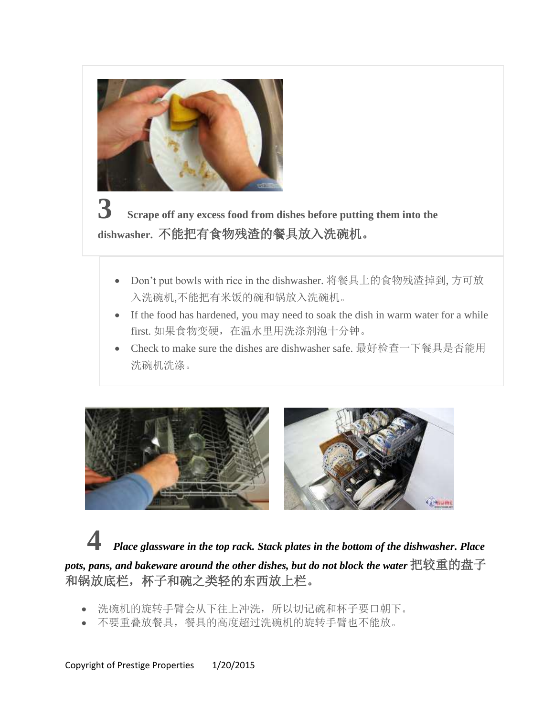

**3 Scrape off any excess food from dishes before putting them into the dishwasher.** 不能把有食物残渣的餐具放入洗碗机。

- Don't put bowls with rice in the dishwasher. 将餐具上的食物残渣掉到, 方可放 入洗碗机,不能把有米饭的碗和锅放入洗碗机。
- If the food has hardened, you may need to soak the dish in warm water for a while first. 如果食物变硬,在温水里用洗涤剂泡十分钟。
- Check to make sure the dishes are dishwasher safe. 最好检查一下餐具是否能用 洗碗机洗涤。



#### **4** *Place glassware in the top rack. Stack plates in the bottom of the dishwasher. Place pots, pans, and bakeware around the other dishes, but do not block the water* 把较重的盘子 和锅放底栏,杯子和碗之类轻的东西放上栏。

- 洗碗机的旋转手臂会从下往上冲洗,所以切记碗和杯子要口朝下。
- 不要重叠放餐具,餐具的高度超过洗碗机的旋转手臂也不能放。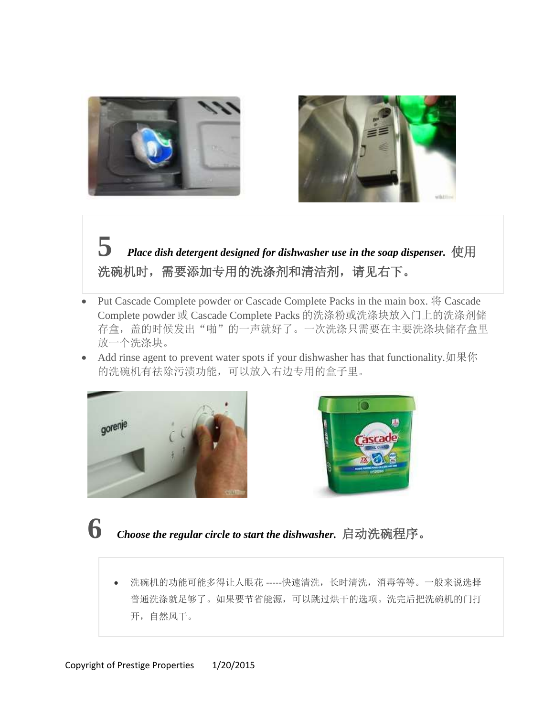



**5** *Place dish detergent designed for dishwasher use in the soap dispenser.* 使用 洗碗机时,需要添加专用的洗涤剂和清洁剂,请见右下。

- Put Cascade Complete powder or Cascade Complete Packs in the main box. 将 Cascade Complete powder 或 Cascade Complete Packs 的洗涤粉或洗涤块放入门上的洗涤剂储 存盒,盖的时候发出"啪"的一声就好了。一次洗涤只需要在主要洗涤块储存盒里 放一个洗涤块。
- Add rinse agent to prevent water spots if your dishwasher has that functionality.如果你 的洗碗机有祛除污渍功能,可以放入右边专用的盒子里。





**6** *Choose the regular circle to start the dishwasher.* 启动洗碗程序。

 洗碗机的功能可能多得让人眼花 -----快速清洗,长时清洗,消毒等等。一般来说选择 普通洗涤就足够了。如果要节省能源,可以跳过烘干的选项。洗完后把洗碗机的门打 开,自然风干。